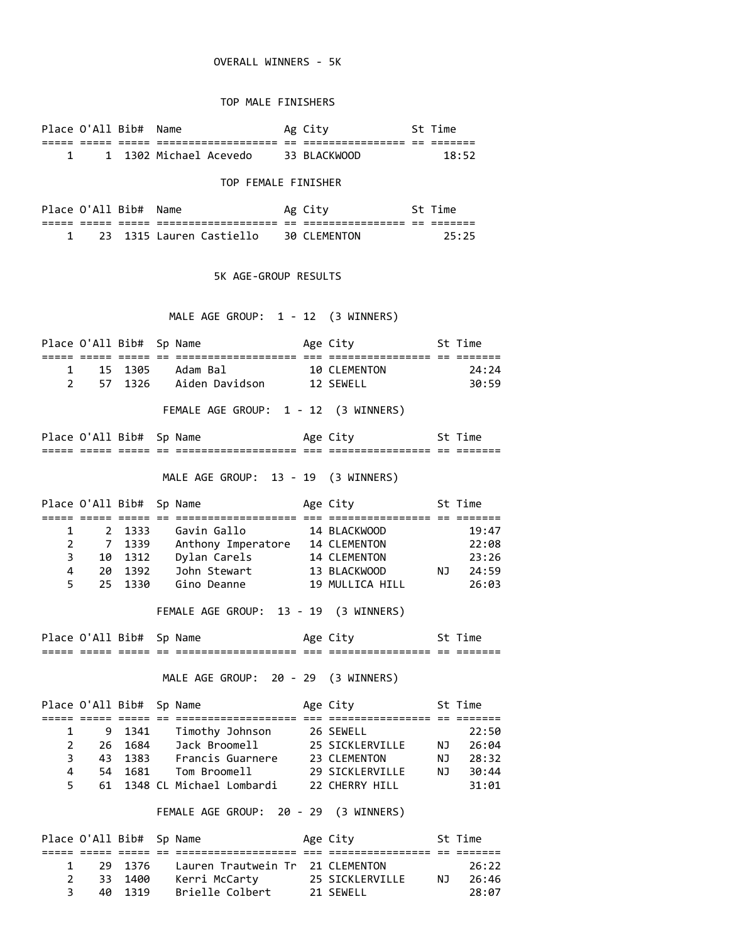## OVERALL WINNERS - 5K

### TOP MALE FINISHERS

| Place O'All Bib# |     | Name                   |    | Ag City        |            | St Time |
|------------------|-----|------------------------|----|----------------|------------|---------|
| ---              | --- | _______________        | __ | ______________ | $ -$<br>-- |         |
|                  |     | 1 1302 Michael Acevedo |    | 33 BIACKWOOD   |            | 18:52   |

#### TOP FEMALE FINISHER

| Place O'All Bib# |       |       | Name                     |            | Ag City                       |          | Time    |
|------------------|-------|-------|--------------------------|------------|-------------------------------|----------|---------|
| -----            | _____ | _____ | __________________       | $-$<br>$-$ | __________<br>_______________ | --<br>-- | _______ |
|                  |       |       | 23 1315 Lauren Castiello |            | 30 CLEMENTON                  |          | フト・フト   |

#### 5K AGE-GROUP RESULTS

# MALE AGE GROUP: 1 - 12 (3 WINNERS)

|                |                   |        | Place O'All Bib# Sp Name Mage City St Time                                                                               |                    |       |
|----------------|-------------------|--------|--------------------------------------------------------------------------------------------------------------------------|--------------------|-------|
| 1              | 15                | 1305   | Adam Bal                                                                                                                 | 10 CLEMENTON       | 24:24 |
|                |                   |        | 2 57 1326 Aiden Davidson 12 SEWELL                                                                                       |                    | 30:59 |
|                |                   |        |                                                                                                                          |                    |       |
|                |                   |        | FEMALE AGE GROUP: 1 - 12 (3 WINNERS)                                                                                     |                    |       |
|                |                   |        | Place O'All Bib# Sp Name Mage City St Time                                                                               |                    |       |
|                |                   |        |                                                                                                                          |                    |       |
|                |                   |        | MALE AGE GROUP: 13 - 19 (3 WINNERS)                                                                                      |                    |       |
|                |                   |        | Place O'All Bib# Sp Name Mage City St Time                                                                               |                    |       |
| 1              |                   | 2 1333 | Gavin Gallo                                                                                                              | 14 BLACKWOOD       | 19:47 |
| $\overline{2}$ | $\overline{7}$    |        |                                                                                                                          |                    | 22:08 |
|                |                   |        | 3 10 1312 Dylan Carels 14 CLEMENTON                                                                                      |                    | 23:26 |
|                |                   |        |                                                                                                                          |                    |       |
|                | $5^{\circ}$<br>25 |        | 1330 Gino Deanne 19 MULLICA HILL                                                                                         |                    | 26:03 |
|                |                   |        |                                                                                                                          |                    |       |
|                |                   |        | FEMALE AGE GROUP: 13 - 19 (3 WINNERS)                                                                                    |                    |       |
|                |                   |        | Place O'All Bib# Sp Name Mage City 5t Time                                                                               |                    |       |
|                |                   |        |                                                                                                                          |                    |       |
|                |                   |        | MALE AGE GROUP: 20 - 29 (3 WINNERS)                                                                                      |                    |       |
|                |                   |        | Place O'All Bib# Sp Name                                                                                                 | Age City 5t Time   |       |
|                |                   |        |                                                                                                                          |                    |       |
| 1              | 9                 |        | 1341 Timothy Johnson 26 SEWELL                                                                                           |                    | 22:50 |
| $\overline{2}$ | 26                | 1684   | Jack Broomell                                                                                                            | 25 SICKLERVILLE NJ | 26:04 |
| 3              | 43                |        |                                                                                                                          |                    | 28:32 |
| 4              | 54                | 1383   | Francis Guarnere 23 CLEMENTON                                                                                            | <b>NJ</b>          | 30:44 |
| 5              | 61                |        |                                                                                                                          |                    | 31:01 |
|                |                   |        | 1681 Tom Broomell 29 SICKLERVILLE NJ<br>1348 CL Michael Lombardi 22 CHERRY HILL<br>FEMALE AGE GROUP: 20 - 29 (3 WINNERS) |                    |       |
|                |                   |        |                                                                                                                          |                    |       |
|                |                   |        | Place O'All Bib# Sp Name Mage City St Time<br>===== ===== == ========<br>1376 Lauren Trautwein Tr 21 CLEMENTON           |                    |       |

 2 33 1400 Kerri McCarty 25 SICKLERVILLE NJ 26:46 3 40 1319 Brielle Colbert 21 SEWELL 28:07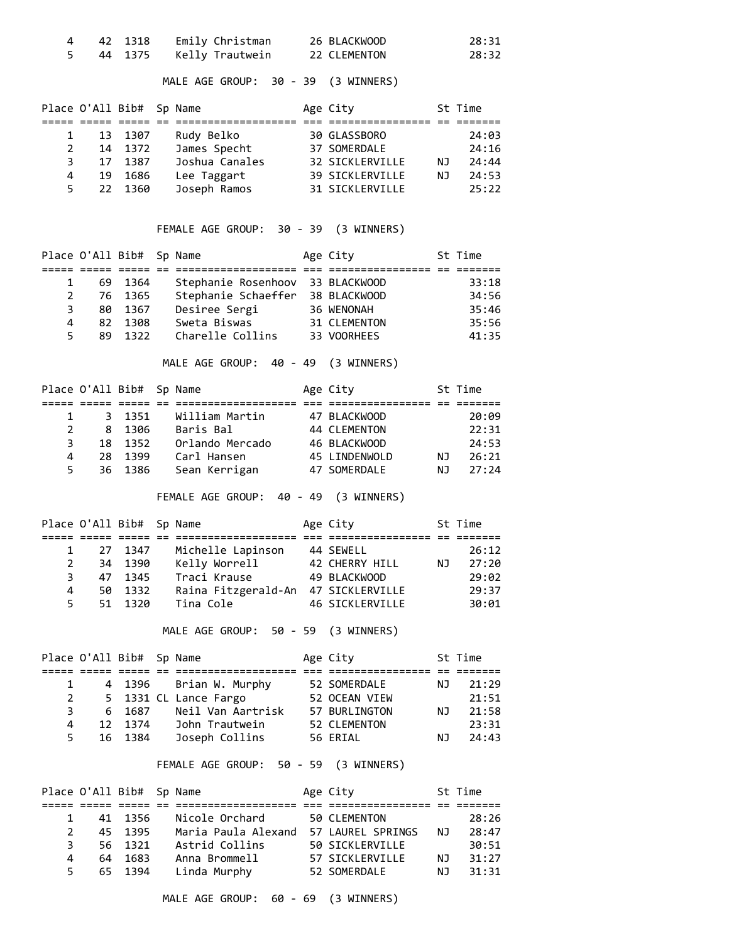|  | 42 1318 | Emily Christman           | 26 BLACKWOOD | 28:31 |
|--|---------|---------------------------|--------------|-------|
|  |         | 44 1375   Kelly Trautwein | 22 CLEMENTON | 28:32 |

# MALE AGE GROUP: 30 - 39 (3 WINNERS)

|              |    | Place O'All Bib# Sp Name |                | Age City               |     | St Time |
|--------------|----|--------------------------|----------------|------------------------|-----|---------|
|              |    |                          |                |                        |     |         |
| $\mathbf{1}$ |    | 13 1307                  | Rudy Belko     | 30 GLASSBORO           |     | 24:03   |
| 2            |    | 14 1372                  | James Specht   | 37 SOMERDALE           |     | 24:16   |
| 3            |    | 17 1387                  | Joshua Canales | <b>32 SICKLERVILLE</b> | NJ. | 24:44   |
| 4            | 19 | 1686                     | Lee Taggart    | <b>39 SICKLERVILLE</b> | NJ. | 24:53   |
| 5.           |    | 22 1360                  | Joseph Ramos   | <b>31 SICKLERVILLE</b> |     | 25:22   |

### FEMALE AGE GROUP: 30 - 39 (3 WINNERS)

|   |     | Place O'All Bib# Sp Name |                                  | Age City            | St Time |
|---|-----|--------------------------|----------------------------------|---------------------|---------|
|   |     |                          |                                  |                     |         |
| 1 |     | 69 1364                  | Stephanie Rosenhoov 33 BLACKWOOD |                     | 33:18   |
| 2 |     | 76 1365                  | Stephanie Schaeffer              | 38 BLACKWOOD        | 34:56   |
| 3 | 80. | 1367                     | Desiree Sergi                    | 36 WENONAH          | 35:46   |
| 4 | 82  | 1308                     | Sweta Biswas                     | <b>31 CLEMENTON</b> | 35:56   |
| 5 | 89  | 1322                     | Charelle Collins                 | 33 VOORHEES         | 41:35   |

MALE AGE GROUP: 40 - 49 (3 WINNERS)

|    |     | Place O'All Bib# Sp Name |                 | Age City      |     | St Time |
|----|-----|--------------------------|-----------------|---------------|-----|---------|
|    |     |                          |                 |               |     |         |
| 1  |     | 3 1351                   | William Martin  | 47 BLACKWOOD  |     | 20:09   |
| 2  |     | 8 1306                   | Baris Bal       | 44 CLEMENTON  |     | 22:31   |
| 3  |     | 18 1352                  | Orlando Mercado | 46 BLACKWOOD  |     | 24:53   |
| 4  | 28. | 1399                     | Carl Hansen     | 45 LINDENWOLD | NJ. | 26:21   |
| 5. |     | 36 1386                  | Sean Kerrigan   | 47 SOMERDALE  | ΝJ  | 27:24   |

FEMALE AGE GROUP: 40 - 49 (3 WINNERS)

| Place O'All Bib# Sp Name |         |                     | Age City        |     | St Time |
|--------------------------|---------|---------------------|-----------------|-----|---------|
|                          |         |                     |                 |     |         |
| 1                        | 27 1347 | Michelle Lapinson   | 44 SEWELL       |     | 26:12   |
| 2                        | 34 1390 | Kelly Worrell       | 42 CHERRY HILL  | NJ. | 27:20   |
| 3                        | 47 1345 | Traci Krause        | 49 BLACKWOOD    |     | 29:02   |
| 4                        | 50 1332 | Raina Fitzgerald-An | 47 SICKLERVILLE |     | 29:37   |
| 5.                       | 51 1320 | Tina Cole           | 46 SICKLERVILLE |     | 30:01   |

MALE AGE GROUP: 50 - 59 (3 WINNERS)

| Place O'All Bib# Sp Name |             |         |                        | Age City            |     | St Time |
|--------------------------|-------------|---------|------------------------|---------------------|-----|---------|
|                          |             |         |                        |                     |     |         |
| $\mathbf{1}$             |             |         | 4 1396 Brian W. Murphy | 52 SOMERDALE        | NJ. | 21:29   |
|                          | $2^{\circ}$ |         | 5 1331 CL Lance Fargo  | 52 OCEAN VIEW       |     | 21:51   |
| 3                        |             | 6 1687  | Neil Van Aartrisk      | 57 BURLINGTON       | ΝJ  | 21:58   |
| 4                        |             | 12 1374 | John Trautwein         | <b>52 CLEMENTON</b> |     | 23:31   |
| 5.                       |             | 16 1384 | Joseph Collins         | 56 ERIAL            | NJ. | 24:43   |

### FEMALE AGE GROUP: 50 - 59 (3 WINNERS)

| Place O'All Bib# Sp Name |         |                     | Age City          |     | St Time |
|--------------------------|---------|---------------------|-------------------|-----|---------|
|                          |         |                     |                   |     |         |
| 1                        | 41 1356 | Nicole Orchard      | 50 CLEMENTON      |     | 28:26   |
| 2                        | 45 1395 | Maria Paula Alexand | 57 LAUREL SPRINGS | ΝJ  | 28:47   |
| 3.                       | 56 1321 | Astrid Collins      | 50 SICKLERVILLE   |     | 30:51   |
| 4                        | 64 1683 | Anna Brommell       | 57 SICKLERVILLE   | NJ. | 31:27   |
| 5.                       | 65 1394 | Linda Murphy        | 52 SOMERDALE      | NJ. | 31:31   |

MALE AGE GROUP: 60 - 69 (3 WINNERS)